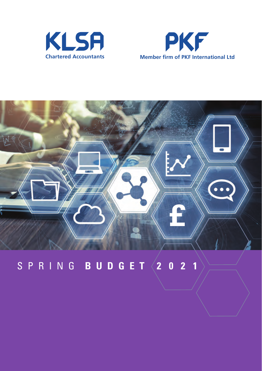





## S P R I N G **B U D G E T 2 0 2 1**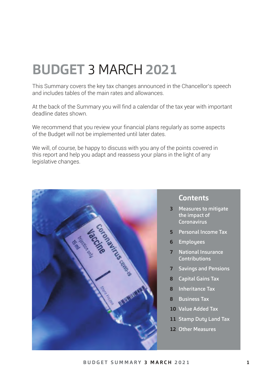# **BUDGET** 3 MARCH **2021**

This Summary covers the key tax changes announced in the Chancellor's speech and includes tables of the main rates and allowances.

At the back of the Summary you will find a calendar of the tax year with important deadline dates shown.

We recommend that you review your financial plans regularly as some aspects of the Budget will not be implemented until later dates.

We will, of course, be happy to discuss with you any of the points covered in this report and help you adapt and reassess your plans in the light of any legislative changes.



#### **Contents**

- **3** Measures to mitigate the impact of Coronavirus
- **5** Personal Income Tax
- **6** Employees
- **7** National Insurance **Contributions**
- **7** Savings and Pensions
- **8** Capital Gains Tax
- **8** Inheritance Tax
- **8** Business Tax
- **10** Value Added Tax
- **11** Stamp Duty Land Tax
- **12** Other Measures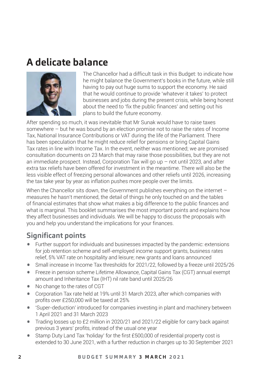## **A delicate balance**



The Chancellor had a difficult task in this Budget: to indicate how he might balance the Government's books in the future, while still having to pay out huge sums to support the economy. He said that he would continue to provide 'whatever it takes' to protect businesses and jobs during the present crisis, while being honest about the need to 'fix the public finances' and setting out his plans to build the future economy.

After spending so much, it was inevitable that Mr Sunak would have to raise taxes somewhere – but he was bound by an election promise not to raise the rates of Income Tax, National Insurance Contributions or VAT during the life of the Parliament. There has been speculation that he might reduce relief for pensions or bring Capital Gains Tax rates in line with Income Tax. In the event, neither was mentioned; we are promised consultation documents on 23 March that may raise those possibilities, but they are not an immediate prospect. Instead, Corporation Tax will go up – not until 2023, and after extra tax reliefs have been offered for investment in the meantime. There will also be the less visible effect of freezing personal allowances and other reliefs until 2026, increasing the tax take year by year as inflation pushes more people over the limits.

When the Chancellor sits down, the Government publishes everything on the internet – measures he hasn't mentioned, the detail of things he only touched on and the tables of financial estimates that show what makes a big difference to the public finances and what is marginal. This booklet summarises the most important points and explains how they affect businesses and individuals. We will be happy to discuss the proposals with you and help you understand the implications for your finances.

### **Significant points**

- Further support for individuals and businesses impacted by the pandemic: extensions for job retention scheme and self-employed income support grants, business rates relief, 5% VAT rate on hospitality and leisure; new grants and loans announced
- Small increase in Income Tax thresholds for 2021/22, followed by a freeze until 2025/26
- Freeze in pension scheme Lifetime Allowance, Capital Gains Tax (CGT) annual exempt amount and Inheritance Tax (IHT) nil rate band until 2025/26
- No change to the rates of CGT<br>• Corporation Tax rate held at 10
- Corporation Tax rate held at 19% until 31 March 2023, after which companies with profits over £250,000 will be taxed at 25%
- 'Super-deduction' introduced for companies investing in plant and machinery between 1 April 2021 and 31 March 2023
- Trading losses up to £2 million in 2020/21 and 2021/22 eligible for carry back against previous 3 years' profits, instead of the usual one year
- Stamp Duty Land Tax 'holiday' for the first £500,000 of residential property cost is extended to 30 June 2021, with a further reduction in charges up to 30 September 2021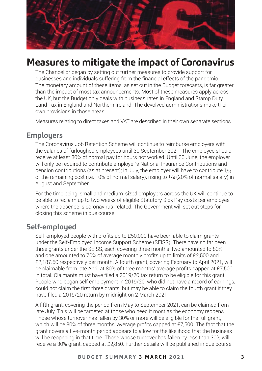

### **Measures to mitigate the impact of Coronavirus**

The Chancellor began by setting out further measures to provide support for businesses and individuals suffering from the financial effects of the pandemic. The monetary amount of these items, as set out in the Budget forecasts, is far greater than the impact of most tax announcements. Most of these measures apply across the UK, but the Budget only deals with business rates in England and Stamp Duty Land Tax in England and Northern Ireland. The devolved administrations make their own provisions in those areas.

Measures relating to direct taxes and VAT are described in their own separate sections.

#### **Employers**

The Coronavirus Job Retention Scheme will continue to reimburse employers with the salaries of furloughed employees until 30 September 2021. The employee should receive at least 80% of normal pay for hours not worked. Until 30 June, the employer will only be required to contribute employer's National Insurance Contributions and pension contributions (as at present); in July, the employer will have to contribute  $1/8$ of the remaining cost (i.e. 10% of normal salary), rising to 1/4 (20% of normal salary) in August and September.

For the time being, small and medium-sized employers across the UK will continue to be able to reclaim up to two weeks of eligible Statutory Sick Pay costs per employee, where the absence is coronavirus-related. The Government will set out steps for closing this scheme in due course.

#### **Self-employed**

Self-employed people with profits up to £50,000 have been able to claim grants under the Self-Employed Income Support Scheme (SEISS). There have so far been three grants under the SEISS, each covering three months; two amounted to 80% and one amounted to 70% of average monthly profits up to limits of £2,500 and £2,187.50 respectively per month. A fourth grant, covering February to April 2021, will be claimable from late April at 80% of three months' average profits capped at £7,500 in total. Claimants must have filed a 2019/20 tax return to be eligible for this grant. People who began self employment in 2019/20, who did not have a record of earnings, could not claim the first three grants, but may be able to claim the fourth grant if they have filed a 2019/20 return by midnight on 2 March 2021.

A fifth grant, covering the period from May to September 2021, can be claimed from late July. This will be targeted at those who need it most as the economy reopens. Those whose turnover has fallen by 30% or more will be eligible for the full grant, which will be 80% of three months' average profits capped at £7,500. The fact that the grant covers a five-month period appears to allow for the likelihood that the business will be reopening in that time. Those whose turnover has fallen by less than 30% will receive a 30% grant, capped at £2,850. Further details will be published in due course.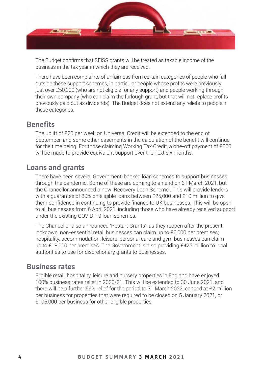

The Budget confirms that SEISS grants will be treated as taxable income of the business in the tax year in which they are received.

There have been complaints of unfairness from certain categories of people who fall outside these support schemes, in particular people whose profits were previously just over £50,000 (who are not eligible for any support) and people working through their own company (who can claim the furlough grant, but that will not replace profits previously paid out as dividends). The Budget does not extend any reliefs to people in these categories.

#### **Benefits**

The uplift of £20 per week on Universal Credit will be extended to the end of September, and some other easements in the calculation of the benefit will continue for the time being. For those claiming Working Tax Credit, a one-off payment of £500 will be made to provide equivalent support over the next six months.

#### **Loans and grants**

There have been several Government-backed loan schemes to support businesses through the pandemic. Some of these are coming to an end on 31 March 2021, but the Chancellor announced a new 'Recovery Loan Scheme'. This will provide lenders with a guarantee of 80% on eligible loans between £25,000 and £10 million to give them confidence in continuing to provide finance to UK businesses. This will be open to all businesses from 6 April 2021, including those who have already received support under the existing COVID-19 loan schemes.

The Chancellor also announced 'Restart Grants': as they reopen after the present lockdown, non-essential retail businesses can claim up to £6,000 per premises; hospitality, accommodation, leisure, personal care and gym businesses can claim up to £18,000 per premises. The Government is also providing £425 million to local authorities to use for discretionary grants to businesses.

#### **Business rates**

Eligible retail, hospitality, leisure and nursery properties in England have enjoyed 100% business rates relief in 2020/21. This will be extended to 30 June 2021, and there will be a further 66% relief for the period to 31 March 2022, capped at £2 million per business for properties that were required to be closed on 5 January 2021, or £105,000 per business for other eligible properties.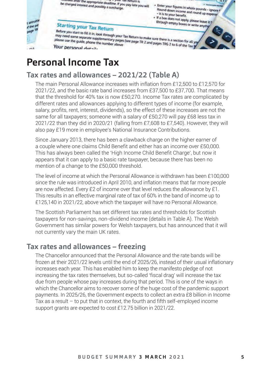

## **Personal Income Tax**

### **Tax rates and allowances – 2021/22 (Table A)**

The main Personal Allowance increases with inflation from £12,500 to £12,570 for 2021/22, and the basic rate band increases from £37,500 to £37,700. That means that the threshold for 40% tax is now £50,270. Income Tax rates are complicated by different rates and allowances applying to different types of income (for example, salary, profits, rent, interest, dividends), so the effect of these increases are not the same for all taxpayers; someone with a salary of £50,270 will pay £68 less tax in 2021/22 than they did in 2020/21 (falling from £7,608 to £7,540). However, they will also pay £19 more in employee's National Insurance Contributions.

Since January 2013, there has been a clawback charge on the higher earner of a couple where one claims Child Benefit and either has an income over £50,000. This has always been called the 'High Income Child Benefit Charge', but now it appears that it can apply to a basic rate taxpayer, because there has been no mention of a change to the £50,000 threshold.

The level of income at which the Personal Allowance is withdrawn has been £100,000 since the rule was introduced in April 2010, and inflation means that far more people are now affected. Every £2 of income over that level reduces the allowance by £1. This results in an effective marginal rate of tax of 60% in the band of income up to £125,140 in 2021/22, above which the taxpayer will have no Personal Allowance.

The Scottish Parliament has set different tax rates and thresholds for Scottish taxpayers for non-savings, non-dividend income (details in Table A). The Welsh Government has similar powers for Welsh taxpayers, but has announced that it will not currently vary the main UK rates.

#### **Tax rates and allowances – freezing**

The Chancellor announced that the Personal Allowance and the rate bands will be frozen at their 2021/22 levels until the end of 2025/26, instead of their usual inflationary increases each year. This has enabled him to keep the manifesto pledge of not increasing the tax rates themselves, but so-called 'fiscal drag' will increase the tax due from people whose pay increases during that period. This is one of the ways in which the Chancellor aims to recover some of the huge cost of the pandemic support payments. In 2025/26, the Government expects to collect an extra £8 billion in Income Tax as a result – to put that in context, the fourth and fifth self-employed income support grants are expected to cost £12.75 billion in 2021/22.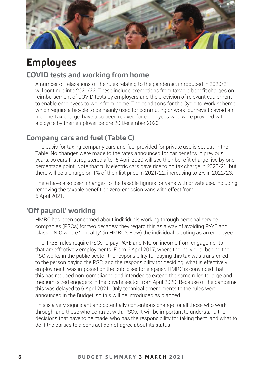

## **Employees**

### **COVID tests and working from home**

A number of relaxations of the rules relating to the pandemic, introduced in 2020/21, will continue into 2021/22. These include exemptions from taxable benefit charges on reimbursement of COVID tests by employers and the provision of relevant equipment to enable employees to work from home. The conditions for the Cycle to Work scheme, which require a bicycle to be mainly used for commuting or work journeys to avoid an Income Tax charge, have also been relaxed for employees who were provided with a bicycle by their employer before 20 December 2020.

### **Company cars and fuel (Table C)**

The basis for taxing company cars and fuel provided for private use is set out in the Table. No changes were made to the rates announced for car benefits in previous years, so cars first registered after 5 April 2020 will see their benefit charge rise by one percentage point. Note that fully electric cars gave rise to no tax charge in 2020/21, but there will be a charge on 1% of their list price in 2021/22, increasing to 2% in 2022/23.

There have also been changes to the taxable figures for vans with private use, including removing the taxable benefit on zero-emission vans with effect from 6 April 2021.

### **'Off payroll' working**

HMRC has been concerned about individuals working through personal service companies (PSCs) for two decades: they regard this as a way of avoiding PAYE and Class 1 NIC where 'in reality' (in HMRC's view) the individual is acting as an employee.

The 'IR35' rules require PSCs to pay PAYE and NIC on income from engagements that are effectively employments. From 6 April 2017, where the individual behind the PSC works in the public sector, the responsibility for paying this tax was transferred to the person paying the PSC, and the responsibility for deciding 'what is effectively employment' was imposed on the public sector engager. HMRC is convinced that this has reduced non-compliance and intended to extend the same rules to large and medium-sized engagers in the private sector from April 2020. Because of the pandemic, this was delayed to 6 April 2021. Only technical amendments to the rules were announced in the Budget, so this will be introduced as planned.

This is a very significant and potentially contentious change for all those who work through, and those who contract with, PSCs. It will be important to understand the decisions that have to be made, who has the responsibility for taking them, and what to do if the parties to a contract do not agree about its status.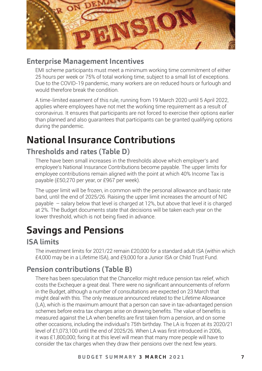

### **Enterprise Management Incentives**

EMI scheme participants must meet a minimum working time commitment of either 25 hours per week or 75% of total working time, subject to a small list of exceptions. Due to the COVID-19 pandemic, many workers are on reduced hours or furlough and would therefore break the condition.

A time-limited easement of this rule, running from 19 March 2020 until 5 April 2022, applies where employees have not met the working time requirement as a result of coronavirus. It ensures that participants are not forced to exercise their options earlier than planned and also guarantees that participants can be granted qualifying options during the pandemic.

## **National Insurance Contributions**

### **Thresholds and rates (Table D)**

There have been small increases in the thresholds above which employer's and employee's National Insurance Contributions become payable. The upper limits for employee contributions remain aligned with the point at which 40% Income Tax is payable (£50,270 per year, or £967 per week).

The upper limit will be frozen, in common with the personal allowance and basic rate band, until the end of 2025/26. Raising the upper limit increases the amount of NIC payable  $-$  salary below that level is charged at 12%, but above that level it is charged at 2%. The Budget documents state that decisions will be taken each year on the lower threshold, which is not being fixed in advance.

## **Savings and Pensions**

#### **ISA limits**

The investment limits for 2021/22 remain £20,000 for a standard adult ISA (within which £4,000 may be in a Lifetime ISA), and £9,000 for a Junior ISA or Child Trust Fund.

### **Pension contributions (Table B)**

There has been speculation that the Chancellor might reduce pension tax relief, which costs the Exchequer a great deal. There were no significant announcements of reform in the Budget, although a number of consultations are expected on 23 March that might deal with this. The only measure announced related to the Lifetime Allowance (LA), which is the maximum amount that a person can save in tax-advantaged pension schemes before extra tax charges arise on drawing benefits. The value of benefits is measured against the LA when benefits are first taken from a pension, and on some other occasions, including the individual's 75th birthday. The LA is frozen at its 2020/21 level of £1,073,100 until the end of 2025/26. When LA was first introduced in 2006, it was £1,800,000; fixing it at this level will mean that many more people will have to consider the tax charges when they draw their pensions over the next few years.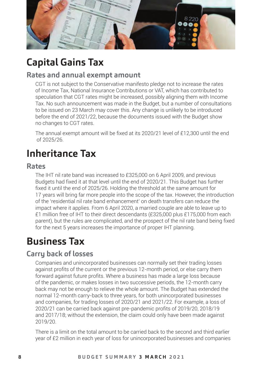

## **Capital Gains Tax**

#### **Rates and annual exempt amount**

CGT is not subject to the Conservative manifesto pledge not to increase the rates of Income Tax, National Insurance Contributions or VAT, which has contributed to speculation that CGT rates might be increased, possibly aligning them with Income Tax. No such announcement was made in the Budget, but a number of consultations to be issued on 23 March may cover this. Any change is unlikely to be introduced before the end of 2021/22, because the documents issued with the Budget show no changes to CGT rates.

The annual exempt amount will be fixed at its 2020/21 level of £12,300 until the end of 2025/26.

## **Inheritance Tax**

#### **Rates**

The IHT nil rate band was increased to £325,000 on 6 April 2009, and previous Budgets had fixed it at that level until the end of 2020/21. This Budget has further fixed it until the end of 2025/26. Holding the threshold at the same amount for 17 years will bring far more people into the scope of the tax. However, the introduction of the 'residential nil rate band enhancement' on death transfers can reduce the impact where it applies. From 6 April 2020, a married couple are able to leave up to £1 million free of IHT to their direct descendants (£325,000 plus £175,000 from each parent), but the rules are complicated, and the prospect of the nil rate band being fixed for the next 5 years increases the importance of proper IHT planning.

## **Business Tax**

### **Carry back of losses**

Companies and unincorporated businesses can normally set their trading losses against profits of the current or the previous 12-month period, or else carry them forward against future profits. Where a business has made a large loss because of the pandemic, or makes losses in two successive periods, the 12-month carry back may not be enough to relieve the whole amount. The Budget has extended the normal 12-month carry-back to three years, for both unincorporated businesses and companies, for trading losses of 2020/21 and 2021/22. For example, a loss of 2020/21 can be carried back against pre-pandemic profits of 2019/20, 2018/19 and 2017/18; without the extension, the claim could only have been made against 2019/20.

There is a limit on the total amount to be carried back to the second and third earlier year of £2 million in each year of loss for unincorporated businesses and companies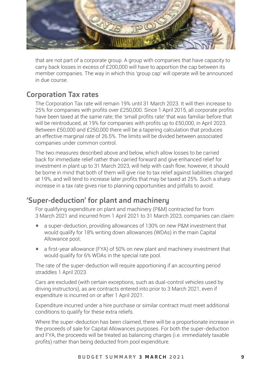

that are not part of a corporate group. A group with companies that have capacity to carry back losses in excess of £200,000 will have to apportion the cap between its member companies. The way in which this 'group cap' will operate will be announced in due course.

#### **Corporation Tax rates**

The Corporation Tax rate will remain 19% until 31 March 2023. It will then increase to 25% for companies with profits over £250,000. Since 1 April 2015, all corporate profits have been taxed at the same rate; the 'small profits rate' that was familiar before that will be reintroduced, at 19% for companies with profits up to £50,000, in April 2023. Between £50,000 and £250,000 there will be a tapering calculation that produces an effective marginal rate of 26.5%. The limits will be divided between associated companies under common control.

The two measures described above and below, which allow losses to be carried back for immediate relief rather than carried forward and give enhanced relief for investment in plant up to 31 March 2023, will help with cash flow; however, it should be borne in mind that both of them will give rise to tax relief against liabilities charged at 19%, and will tend to increase later profits that may be taxed at 25%. Such a sharp increase in a tax rate gives rise to planning opportunities and pitfalls to avoid.

#### **'Super-deduction' for plant and machinery**

For qualifying expenditure on plant and machinery (P&M) contracted for from 3 March 2021 and incurred from 1 April 2021 to 31 March 2023, companies can claim:

- a super-deduction, providing allowances of 130% on new P&M investment that would qualify for 18% writing down allowances (WDAs) in the main Capital Allowance pool;
- a first-year allowance (FYA) of 50% on new plant and machinery investment that would qualify for 6% WDAs in the special rate pool.

The rate of the super-deduction will require apportioning if an accounting period straddles 1 April 2023.

Cars are excluded (with certain exceptions, such as dual-control vehicles used by driving instructors), as are contracts entered into prior to 3 March 2021, even if expenditure is incurred on or after 1 April 2021.

Expenditure incurred under a hire purchase or similar contract must meet additional conditions to qualify for these extra reliefs.

Where the super-deduction has been claimed, there will be a proportionate increase in the proceeds of sale for Capital Allowances purposes. For both the super-deduction and FYA, the proceeds will be treated as balancing charges (i.e. immediately taxable profits) rather than being deducted from pool expenditure.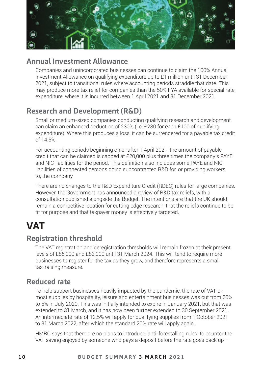

### **Annual Investment Allowance**

Companies and unincorporated businesses can continue to claim the 100% Annual Investment Allowance on qualifying expenditure up to £1 million until 31 December 2021, subject to transitional rules where accounting periods straddle that date. This may produce more tax relief for companies than the 50% FYA available for special rate expenditure, where it is incurred between 1 April 2021 and 31 December 2021.

### **Research and Development (R&D)**

Small or medium-sized companies conducting qualifying research and development can claim an enhanced deduction of 230% (i.e. £230 for each £100 of qualifying expenditure). Where this produces a loss, it can be surrendered for a payable tax credit of 14.5%.

For accounting periods beginning on or after 1 April 2021, the amount of payable credit that can be claimed is capped at £20,000 plus three times the company's PAYE and NIC liabilities for the period. This definition also includes some PAYE and NIC liabilities of connected persons doing subcontracted R&D for, or providing workers to, the company.

There are no changes to the R&D Expenditure Credit (RDEC) rules for large companies. However, the Government has announced a review of R&D tax reliefs, with a consultation published alongside the Budget. The intentions are that the UK should remain a competitive location for cutting edge research, that the reliefs continue to be fit for purpose and that taxpayer money is effectively targeted.

## **VAT**

#### **Registration threshold**

The VAT registration and deregistration thresholds will remain frozen at their present levels of £85,000 and £83,000 until 31 March 2024. This will tend to require more businesses to register for the tax as they grow, and therefore represents a small tax-raising measure.

#### **Reduced rate**

To help support businesses heavily impacted by the pandemic, the rate of VAT on most supplies by hospitality, leisure and entertainment businesses was cut from 20% to 5% in July 2020. This was initially intended to expire in January 2021, but that was extended to 31 March, and it has now been further extended to 30 September 2021. An intermediate rate of 12.5% will apply for qualifying supplies from 1 October 2021 to 31 March 2022, after which the standard 20% rate will apply again.

HMRC says that there are no plans to introduce 'anti-forestalling rules' to counter the VAT saving enjoyed by someone who pays a deposit before the rate goes back up  $-$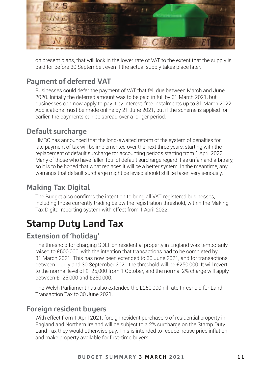

on present plans, that will lock in the lower rate of VAT to the extent that the supply is paid for before 30 September, even if the actual supply takes place later.

### **Payment of deferred VAT**

Businesses could defer the payment of VAT that fell due between March and June 2020. Initially the deferred amount was to be paid in full by 31 March 2021, but businesses can now apply to pay it by interest-free instalments up to 31 March 2022. Applications must be made online by 21 June 2021, but if the scheme is applied for earlier, the payments can be spread over a longer period.

#### **Default surcharge**

HMRC has announced that the long-awaited reform of the system of penalties for late payment of tax will be implemented over the next three years, starting with the replacement of default surcharge for accounting periods starting from 1 April 2022. Many of those who have fallen foul of default surcharge regard it as unfair and arbitrary, so it is to be hoped that what replaces it will be a better system. In the meantime, any warnings that default surcharge might be levied should still be taken very seriously.

#### **Making Tax Digital**

The Budget also confirms the intention to bring all VAT-registered businesses, including those currently trading below the registration threshold, within the Making Tax Digital reporting system with effect from 1 April 2022.

### **Stamp Duty Land Tax**

#### **Extension of 'holiday'**

The threshold for charging SDLT on residential property in England was temporarily raised to £500,000, with the intention that transactions had to be completed by 31 March 2021. This has now been extended to 30 June 2021, and for transactions between 1 July and 30 September 2021 the threshold will be £250,000. It will revert to the normal level of £125,000 from 1 October, and the normal 2% charge will apply between £125,000 and £250,000.

The Welsh Parliament has also extended the £250,000 nil rate threshold for Land Transaction Tax to 30 June 2021.

#### **Foreign resident buyers**

With effect from 1 April 2021, foreign resident purchasers of residential property in England and Northern Ireland will be subject to a 2% surcharge on the Stamp Duty Land Tax they would otherwise pay. This is intended to reduce house price inflation and make property available for first-time buyers.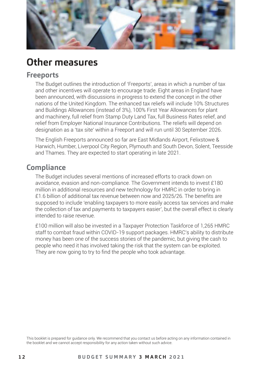

### **Other measures**

#### **Freeports**

The Budget outlines the introduction of 'Freeports', areas in which a number of tax and other incentives will operate to encourage trade. Eight areas in England have been announced, with discussions in progress to extend the concept in the other nations of the United Kingdom. The enhanced tax reliefs will include 10% Structures and Buildings Allowances (instead of 3%), 100% First Year Allowances for plant and machinery, full relief from Stamp Duty Land Tax, full Business Rates relief, and relief from Employer National Insurance Contributions. The reliefs will depend on designation as a 'tax site' within a Freeport and will run until 30 September 2026.

The English Freeports announced so far are East Midlands Airport, Felixstowe & Harwich, Humber, Liverpool City Region, Plymouth and South Devon, Solent, Teesside and Thames. They are expected to start operating in late 2021.

### **Compliance**

The Budget includes several mentions of increased efforts to crack down on avoidance, evasion and non-compliance. The Government intends to invest £180 million in additional resources and new technology for HMRC in order to bring in £1.6 billion of additional tax revenue between now and 2025/26. The benefits are supposed to include 'enabling taxpayers to more easily access tax services and make the collection of tax and payments to taxpayers easier', but the overall effect is clearly intended to raise revenue.

£100 million will also be invested in a Taxpayer Protection Taskforce of 1,265 HMRC staff to combat fraud within COVID-19 support packages. HMRC's ability to distribute money has been one of the success stories of the pandemic, but giving the cash to people who need it has involved taking the risk that the system can be exploited. They are now going to try to find the people who took advantage.

This booklet is prepared for guidance only. We recommend that you contact us before acting on any information contained in the booklet and we cannot accept responsibility for any action taken without such advice.

#### **1 2 B U D G E T S U M M A R Y 3 M A R C H 2 0 2 1**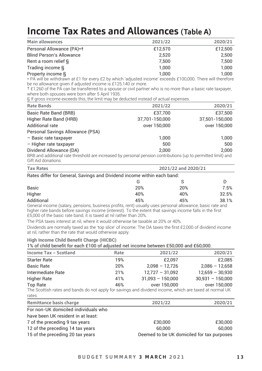### **Income Tax Rates and Allowances (Table A)**

| Main allowances                 | 2021/22 | 2020/21 |
|---------------------------------|---------|---------|
| Personal Allowance (PA)*†       | £12,570 | £12,500 |
| <b>Blind Person's Allowance</b> | 2.520   | 2.500   |
| Rent a room relief §            | 7.500   | 7.500   |
| Trading income §                | 1.000   | 1.000   |
| Property income §               | 1.000   | 1.000   |

Property income § 1,000 1,000 \* PA will be withdrawn at £1 for every £2 by which 'adjusted income' exceeds £100,000. There will therefore be no allowance given if adjusted income is £125,140 or more.

† £1,260 of the PA can be transferred to a spouse or civil partner who is no more than a basic rate taxpayer, where both spouses were born after 5 April 1935.

§ If gross income exceeds this, the limit may be deducted instead of actual expenses.

| Rate Bands                                                                                                    | 2021/22        | 2020/21        |
|---------------------------------------------------------------------------------------------------------------|----------------|----------------|
| Basic Rate Band (BRB)                                                                                         | £37,700        | £37,500        |
| Higher Rate Band (HRB)                                                                                        | 37,701-150,000 | 37,501-150,000 |
| Additional rate                                                                                               | over 150,000   | over 150,000   |
| Personal Savings Allowance (PSA)                                                                              |                |                |
| - Basic rate taxpayer                                                                                         | 1.000          | 1.000          |
| - Higher rate taxpayer                                                                                        | 500            | 500            |
| Dividend Allowance (DA)                                                                                       | 2.000          | 2.000          |
| BRB and additional rate threshold are increased by personal pension contributions (up to permitted limit) and |                |                |

Gift Aid donations.

| <b>Tax Rates</b>                                                        | 2021/22 and 2020/21 |     |       |  |  |  |
|-------------------------------------------------------------------------|---------------------|-----|-------|--|--|--|
| Rates differ for General, Savings and Dividend income within each band: |                     |     |       |  |  |  |
|                                                                         | G                   |     |       |  |  |  |
| <b>Basic</b>                                                            | 20%                 | 20% | 7.5%  |  |  |  |
| Higher                                                                  | 40%                 | 40% | 32.5% |  |  |  |
| Additional                                                              | 45%                 | 45% | 38.1% |  |  |  |

Additional 45% 45% 38.1% General income (salary, pensions, business profits, rent) usually uses personal allowance, basic rate and higher rate bands before savings income (interest). To the extent that savings income falls in the first £5,000 of the basic rate band, it is taxed at nil rather than 20%.

The PSA taxes interest at nil, where it would otherwise be taxable at 20% or 40%.

Dividends are normally taxed as the 'top slice' of income. The DA taxes the first £2,000 of dividend income at nil, rather than the rate that would otherwise apply.

#### **High Income Child Benefit Charge (HICBC)**

1% of child benefit for each £100 of adjusted net income between £50,000 and £60,000.

| Income Tax - Scotland                                                                                   | Rate | 2021/22            | 2020/21            |
|---------------------------------------------------------------------------------------------------------|------|--------------------|--------------------|
| <b>Starter Rate</b>                                                                                     | 19%  | £2.097             | £2.085             |
| <b>Basic Rate</b>                                                                                       | 20%  | $2.098 - 12.726$   | $2.086 - 12.658$   |
| Intermediate Rate                                                                                       | 21%  | $12,727 - 31,092$  | $12,659 - 30,930$  |
| Higher Rate                                                                                             | 41%  | $31.093 - 150.000$ | $30.931 - 150.000$ |
| Top Rate                                                                                                | 46%  | over 150,000       | over 150,000       |
| The Scottish rates and bands do not apply for savings and dividend income, which are taxed at normal UK |      |                    |                    |
| rates.                                                                                                  |      |                    |                    |

| Remittance basis charge              | 2021/22                                    | 2020/21 |
|--------------------------------------|--------------------------------------------|---------|
| For non-UK domiciled individuals who |                                            |         |
| have been UK resident in at least:   |                                            |         |
| 7 of the preceding 9 tax years       | £30,000                                    | £30,000 |
| 12 of the preceding 14 tax years     | 60.000                                     | 60.000  |
| 15 of the preceding 20 tax years     | Deemed to be UK domiciled for tax purposes |         |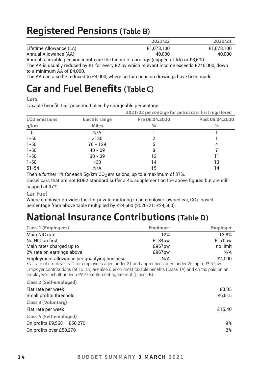## **Registered Pensions (Table B)**

|                                                                                             | 2021/22    | 2020/21    |
|---------------------------------------------------------------------------------------------|------------|------------|
| Lifetime Allowance (LA)                                                                     | £1.073.100 | £1.073.100 |
| Annual Allowance (AA)                                                                       | 40.000     | 40.000     |
| Appure in (AA, to hourselve that the big by contact contact and the levels of AA) or £2,600 |            |            |

Annual relievable pension inputs are the higher of earnings (capped at AA) or £3,600.

The AA is usually reduced by £1 for every £2 by which relevant income exceeds £240,000, down to a minimum AA of £4,000.

The AA can also be reduced to £4,000, where certain pension drawings have been made.

### **Car and Fuel Benefits (Table C)**

**Cars**

Taxable benefit: List price multiplied by chargeable percentage.

|               |                | 2021/22 percentage for petrol cars first registered |                 |  |
|---------------|----------------|-----------------------------------------------------|-----------------|--|
| CO2 emissions | Electric range | Pre 06.04.2020                                      | Post 05.04.2020 |  |
| g/km          | <b>Miles</b>   | 0/0                                                 | $\frac{0}{0}$   |  |
| $\Omega$      | N/A            |                                                     |                 |  |
| $1 - 50$      | >130           |                                                     |                 |  |
| $1 - 50$      | $70 - 129$     | 5                                                   | 4               |  |
| $1 - 50$      | $40 - 69$      | 8                                                   |                 |  |
| $1 - 50$      | $30 - 39$      | 12                                                  | 11              |  |
| $1 - 50$      | ~14.30         | 14                                                  | 13              |  |
| $51 - 54$     | N/A            | 15                                                  | 14              |  |

Then a further 1% for each 5g/km  $CO<sub>2</sub>$  emissions, up to a maximum of 37%.

Diesel cars that are not RDE2 standard suffer a 4% supplement on the above figures but are still capped at 37%.

#### **Car Fuel**

Where employer provides fuel for private motoring in an employer-owned car,  $CO<sub>2</sub>$ -based percentage from above table multiplied by £24,600 (2020/21: £24,500).

### **National Insurance Contributions (Table D)**

| Class 1 (Employees)                                                                                | Employee | Employer |
|----------------------------------------------------------------------------------------------------|----------|----------|
| Main NIC rate                                                                                      | 12%      | 13.8%    |
| No NIC on first                                                                                    | £184pw   | £170pw   |
| Main rate* charged up to                                                                           | £967pw   | no limit |
| 2% rate on earnings above                                                                          | £967pw   | N/A      |
| Employment allowance per qualifying business                                                       | N/A      | £4.000   |
| *Nil rate of employer NIC for employees aged under 21 and apprentices aged under 25, up to £967pw. |          |          |

Employer contributions (at 13.8%) are also due on most taxable benefits (Class 1A) and on tax paid on an employee's behalf under a PAYE settlement agreement (Class 1B).

| Class 2 (Self-employed)     |        |
|-----------------------------|--------|
| Flat rate per week          | £3.05  |
| Small profits threshold     | £6,515 |
| Class 3 (Voluntary)         |        |
| Flat rate per week          | £15.40 |
| Class 4 (Self-employed)     |        |
| On profits £9,568 - £50,270 | 9%     |
| On profits over £50,270     | 2%     |
|                             |        |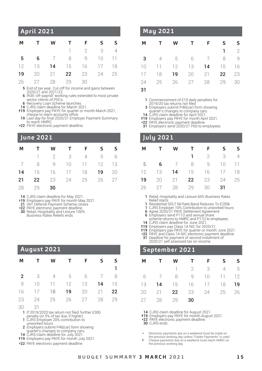#### **M T W T F S S** 1 2 3 4 5 6 7 8 9 10 11 12 13 14 15 16 17 18 19 20 21 22 23 24 25 26 27 28 29 30 **April 2021**

5 End of tax year. Cut-off for income and gains between

2020/21 and 2021/22. 6 IR35 'off-payroll' working rules extended to most private sector clients of PSCs.

6 Recovery Loan Scheme launches.

14 CJRS claim deadline for March 2021. †19 Employers pay PAYE for quarter or month March 2021,

 cheque to reach accounts office. 19 Last day for final 2020/21 Employer Payment Summary to reach HMRC.

 \*22 PAYE electronic payment deadline.

#### **June 2021**

| М  | T                                  |    | W T F                    | S | -S |
|----|------------------------------------|----|--------------------------|---|----|
|    |                                    |    | $1 \t2 \t3 \t4 \t5$      |   | 6  |
|    | 7 8 9 10 11 12 13                  |    |                          |   |    |
|    | <b>14</b> 15 16 17 18 <b>19</b> 20 |    |                          |   |    |
| 21 |                                    |    | <b>22</b> 23 24 25 26 27 |   |    |
|    | 28 29                              | 30 |                          |   |    |

14 CJRS claim deadline for May 2021.

†19 Employers pay PAYE for month May 2021. 21 VAT Deferral Payment Scheme closes

 \*22 PAYE electronic payment deadline. 30 Retail, Hospitality and Leisure 100% Business Rates Reliefs ends

| Augus <u>t 2021</u> ' |      |              |    |    |    |    |  |
|-----------------------|------|--------------|----|----|----|----|--|
| М                     |      | w            | т  | F  |    |    |  |
|                       |      |              |    |    |    |    |  |
| 2                     | 3    |              | 5  | h  |    |    |  |
|                       | 1(1) | $\mathbf{1}$ | 12 | 13 | 14 | -5 |  |

16 17 18 19 20 21 22 23 24 25 26 27 28 29

30 31 1 If 2019/2020 tax return not filed, further £300 penalty (or 5% of tax due, if higher) . 1 CJRS Employer 20% contribution to

- 
- 
- unworked hours <sup>2</sup> Employers submit P46(car) form showing quarter's changes to company cars. 14 CJRS claim deadline for July 2021. †19 Employers pay PAYE for month July 2021.
- 
- \*22 PAYE electronic payment deadline.

#### **May 2021**

| M |                             |  | TWTFSS |             |
|---|-----------------------------|--|--------|-------------|
|   |                             |  |        | $1 \quad 2$ |
|   | <b>3</b> 4 5 6 7 8 9        |  |        |             |
|   | 10 11 12 13 <b>14</b> 15 16 |  |        |             |
|   | 17 18 19 20 21 22 23        |  |        |             |
|   | 24  25  26  27  28  29  30  |  |        |             |

31

1 Commencement of £10 daily penalties for

- 2019/20 tax returns not filed.
- 3 Employers submit P46(car) form showing
- quarter's changes to company cars. 14 CJRS claim deadline for April 2021.
- †19 Employers pay PAYE for month April 2021.
- 
- \*22 PAYE electronic payment deadline. 31 Employers send 2020/21 P60 to employees.

#### **July 2021**

| М  | T | W T | F.                       | $\mathsf{S}$ | s              |
|----|---|-----|--------------------------|--------------|----------------|
|    |   | п.  | $2 \quad 3$              |              | $\overline{4}$ |
|    |   |     | 5 6 7 8 9 10 11          |              |                |
| 12 |   |     | 13 <b>14</b> 15 16 17 18 |              |                |
| 19 |   |     | 20 21 <b>22</b> 23 24 25 |              |                |
| 26 |   |     | 27 28 29 30              | 31           |                |

 1 Retail, Hospitality and Leisure 66% Business Rates Relief starts

- 1 Residential SDLT Nil Rate Band Reduces To £250k
- 1 CJRS Employer 10% Contribution to unworked hours 6 Agree 2020/21 PAYE Settlement Agreement
	-
- 6 Employers send P11D and annual share scheme returns to HMRC and P11D to employees.
- 
- 
- 14 CJRS claim deadline for June 2021.<br>†19 Employers pay Class 1A NIC for 2020/21.<br>†19 Employers pay PAYE for quarter or month June 2021.<br>\*22 PAYE and Class 1A NIC electronic payment deadline.
- 
- 31 Deadline for payment of second instalment of 2020/21 self assessed tax on income.

#### **September 2021**

| М  | $\mathbf{T}$ | W T F                           | S. | s |
|----|--------------|---------------------------------|----|---|
|    |              | $1 \t2 \t3 \t4 \t5$             |    |   |
|    |              | 6 7 8 9 10 11 12                |    |   |
| 13 |              | <b>14</b> 15 16 17 18 <b>19</b> |    |   |
|    |              | 20 21 22 23 24 25 26            |    |   |
| 27 | 28 29        | 30                              |    |   |

14 CJRS claim deadline for August 2021.<br>19 Employers pay PAYE for month August 2021.

 \*22 PAYE electronic payment deadline.

 30 CJRS ends

\* Electronic payments due on a weekend must be made on the previous working day unless "Faster Payments" is used. † Cheque payments due on a weekend must reach HMRC on

the previous working day.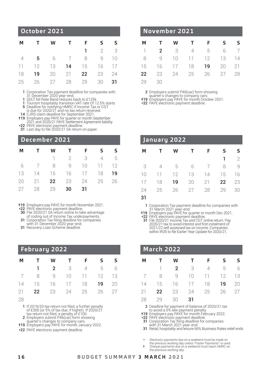#### **M T W T F S S** 1 2 3 4 5 6 7 8 9 10 11 12 13 14 15 16 17 18 19 20 21 22 23 24 25 26 27 28 29 30 31 **October 2021**

1 Corporation Tax payment deadline for companies with<br>31 December 2020 year-end.

- 
- 
- 

13 December 2020 year-end.<br>
1 SDLT Nil Rate Band reduces back to £125k<br>
1 Tourism hospitality transition VAT rate Of 12.5% starts<br>
5 Deadline for notifying HMRC if Income Tax or CGT<br>
is due for 2020/21 and no tax return r

- \*22 PAYE electronic payment deadline. 31 Last day to file 2020/21 SA return on paper.
- 

#### **December 2021**

| М | $\mathbf{T}$                |              | W T F |    | S              | s - |
|---|-----------------------------|--------------|-------|----|----------------|-----|
|   |                             | $\mathbb{1}$ | 2 3   |    | $\overline{4}$ | 5   |
|   | 6 7 8 9 10 11 12            |              |       |    |                |     |
|   | 13 14 15 16 17 18           |              |       |    |                | 19  |
|   | 20 21 <b>22</b> 23 24 25 26 |              |       |    |                |     |
|   | 27 28 29                    |              | 30    | 31 |                |     |

†19 Employers pay PAYE for month November 2021.

- \*22 PAYE electronic payment deadline
- 30 File 2020/21 SA return online to take advantage
- of coding out of Income Tax underpayments. 31 Corporation Tax filing deadline for companies with 31 December 2020 year-end.
- 
- 31 Recovery Loan Scheme deadline

#### **February 2022**

| M T W T F S S               |  |             |  |
|-----------------------------|--|-------------|--|
|                             |  | 1 2 3 4 5 6 |  |
| 7 8 9 10 11 12 13           |  |             |  |
| 14 15 16 17 18 19 20        |  |             |  |
| 21 <b>22</b> 23 24 25 26 27 |  |             |  |

<sup>28</sup> 

- 2 Employers submit P46(car) form showing
- quarter's changes to company cars. †19 Employers pay PAYE for month January 2022.
- \*22 PAYE electronic payment deadline.

#### **November 2021**

| М  | $\mathbf{T}$                |  | W T F S        | s  |
|----|-----------------------------|--|----------------|----|
|    | $1$ 2 3 4 5 6 7             |  |                |    |
|    | 8 9 10 11 12 13 14          |  |                |    |
|    | 15 16 17 18 <b>19</b> 20 21 |  |                |    |
| 22 |                             |  | 23 24 25 26 27 | 28 |
| 29 | -30                         |  |                |    |

2 Employers submit P46(car) form showing

quarter's changes to company cars. †19 Employers pay PAYE for month October 2021.

 \*22 PAYE electronic payment deadline.

| January 2022 |    |    |    |    |    |                |  |  |
|--------------|----|----|----|----|----|----------------|--|--|
| М            |    | w  | т  | F  | ς  | ς              |  |  |
|              |    |    |    |    | ٦  | $\mathfrak{D}$ |  |  |
| 3            | 4  | 5  | 6  | 7  | 8  | q              |  |  |
| 10           | 11 | 12 | 13 | 14 | 15 | 16             |  |  |
| 17           | 18 | 19 | 20 | 21 | 22 | 23             |  |  |
| 74           | 25 | 26 | 27 | 28 | 29 | RN             |  |  |

31

1 Corporation Tax payment deadline for companies with

<sup>31</sup> March 2021 year-end.<br>**119** Employers pay PAYE for quarter or month Dec 2021<br>**\*22** PAYE electronic payment deadline.<br>**31 File 2020/21 tax to avoid interest and first instalment of**  2021/22 self assessed tax on income. Companies within IR35 to file Earlier Year Update for 2020/21.

| <b>March 2022</b> |    |    |    |    |    |    |  |  |  |
|-------------------|----|----|----|----|----|----|--|--|--|
| М                 |    | w  | т  | F  | ς  |    |  |  |  |
|                   |    | 2  | 3  | 4  | 5  | 6  |  |  |  |
| - 7               | 8  | q  | 10 | 11 | 12 | 13 |  |  |  |
| 14                | 15 | 16 | 17 | 18 | 19 | 20 |  |  |  |
| 21                | 22 | 23 | 24 | 25 | 26 | 27 |  |  |  |
| 28                | 29 | 30 | 31 |    |    |    |  |  |  |

 2 Deadline for payment of balance of 2020/21 tax

to avoid a 5% late payment penalty. †19 Employers pay PAYE for month February 2022.

 \*22 PAYE electronic payment deadline. 31 Corporation Tax filing deadline for companies

with 31 March 2021 year-end. 31 Retail, hospitality and leisure 66% Business Rates relief ends

- \* Electronic payments due on a weekend must be made on
- 
- the previous working day unless "Faster Payments" is used. † Cheque payments due on a weekend must reach HMRC on the previous working day.

<sup>1</sup> If 2019/20 tax return not filed, a further penalty of £300 (or 5% of tax due, if higher). If 2020/21 tax return not filed, a penalty of £100.